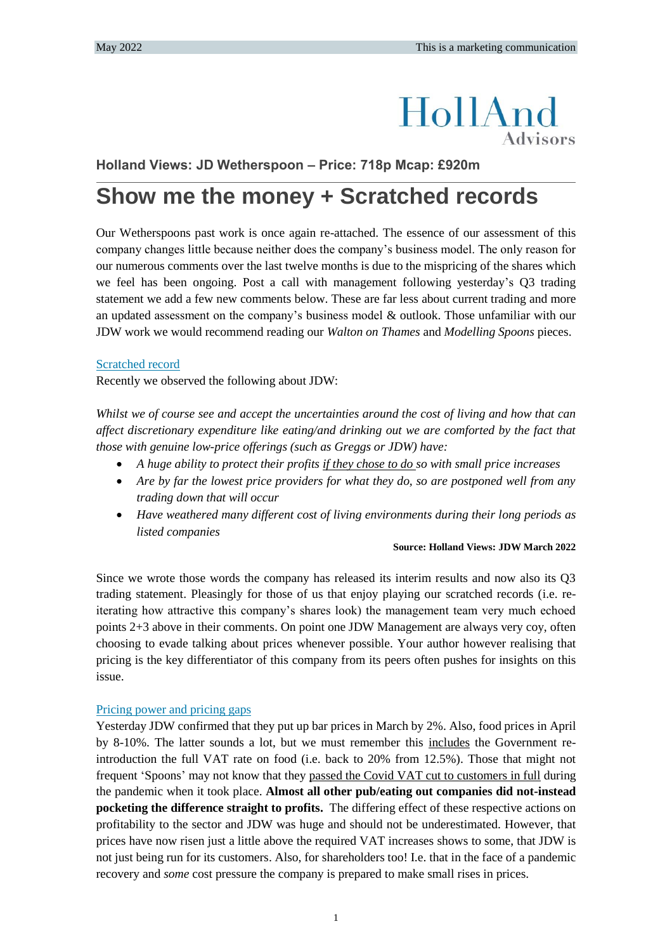# HollAnd **Advisors**

**Holland Views: JD Wetherspoon – Price: 718p Mcap: £920m**

# **Show me the money + Scratched records**

Our Wetherspoons past work is once again re-attached. The essence of our assessment of this company changes little because neither does the company's business model. The only reason for our numerous comments over the last twelve months is due to the mispricing of the shares which we feel has been ongoing. Post a call with management following yesterday's Q3 trading statement we add a few new comments below. These are far less about current trading and more an updated assessment on the company's business model & outlook. Those unfamiliar with our JDW work we would recommend reading our *Walton on Thames* and *Modelling Spoons* pieces.

# Scratched record

Recently we observed the following about JDW:

*Whilst we of course see and accept the uncertainties around the cost of living and how that can affect discretionary expenditure like eating/and drinking out we are comforted by the fact that those with genuine low-price offerings (such as Greggs or JDW) have:*

- *A huge ability to protect their profits if they chose to do so with small price increases*
- *Are by far the lowest price providers for what they do, so are postponed well from any trading down that will occur*
- *Have weathered many different cost of living environments during their long periods as listed companies*

#### **Source: Holland Views: JDW March 2022**

Since we wrote those words the company has released its interim results and now also its Q3 trading statement. Pleasingly for those of us that enjoy playing our scratched records (i.e. reiterating how attractive this company's shares look) the management team very much echoed points 2+3 above in their comments. On point one JDW Management are always very coy, often choosing to evade talking about prices whenever possible. Your author however realising that pricing is the key differentiator of this company from its peers often pushes for insights on this issue.

# Pricing power and pricing gaps

Yesterday JDW confirmed that they put up bar prices in March by 2%. Also, food prices in April by 8-10%. The latter sounds a lot, but we must remember this includes the Government reintroduction the full VAT rate on food (i.e. back to 20% from 12.5%). Those that might not frequent 'Spoons' may not know that they passed the Covid VAT cut to customers in full during the pandemic when it took place. **Almost all other pub/eating out companies did not-instead pocketing the difference straight to profits.** The differing effect of these respective actions on profitability to the sector and JDW was huge and should not be underestimated. However, that prices have now risen just a little above the required VAT increases shows to some, that JDW is not just being run for its customers. Also, for shareholders too! I.e. that in the face of a pandemic recovery and *some* cost pressure the company is prepared to make small rises in prices.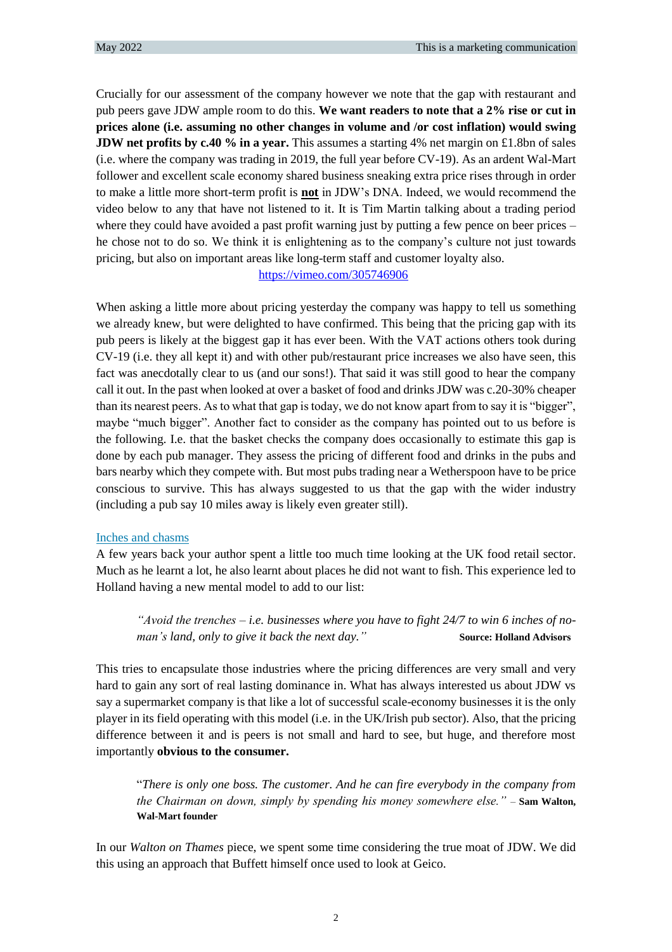Crucially for our assessment of the company however we note that the gap with restaurant and pub peers gave JDW ample room to do this. **We want readers to note that a 2% rise or cut in prices alone (i.e. assuming no other changes in volume and /or cost inflation) would swing JDW net profits by c.40 % in a year.** This assumes a starting 4% net margin on £1.8bn of sales (i.e. where the company was trading in 2019, the full year before CV-19). As an ardent Wal-Mart follower and excellent scale economy shared business sneaking extra price rises through in order to make a little more short-term profit is **not** in JDW's DNA. Indeed, we would recommend the video below to any that have not listened to it. It is Tim Martin talking about a trading period where they could have avoided a past profit warning just by putting a few pence on beer prices – he chose not to do so. We think it is enlightening as to the company's culture not just towards pricing, but also on important areas like long-term staff and customer loyalty also.

# <https://vimeo.com/305746906>

When asking a little more about pricing yesterday the company was happy to tell us something we already knew, but were delighted to have confirmed. This being that the pricing gap with its pub peers is likely at the biggest gap it has ever been. With the VAT actions others took during CV-19 (i.e. they all kept it) and with other pub/restaurant price increases we also have seen, this fact was anecdotally clear to us (and our sons!). That said it was still good to hear the company call it out. In the past when looked at over a basket of food and drinks JDW was c.20-30% cheaper than its nearest peers. As to what that gap is today, we do not know apart from to say it is "bigger", maybe "much bigger". Another fact to consider as the company has pointed out to us before is the following. I.e. that the basket checks the company does occasionally to estimate this gap is done by each pub manager. They assess the pricing of different food and drinks in the pubs and bars nearby which they compete with. But most pubs trading near a Wetherspoon have to be price conscious to survive. This has always suggested to us that the gap with the wider industry (including a pub say 10 miles away is likely even greater still).

#### Inches and chasms

A few years back your author spent a little too much time looking at the UK food retail sector. Much as he learnt a lot, he also learnt about places he did not want to fish. This experience led to Holland having a new mental model to add to our list:

*"Avoid the trenches – i.e. businesses where you have to fight 24/7 to win 6 inches of noman's land, only to give it back the next day."* **Source: Holland Advisors**

This tries to encapsulate those industries where the pricing differences are very small and very hard to gain any sort of real lasting dominance in. What has always interested us about JDW vs say a supermarket company is that like a lot of successful scale-economy businesses it is the only player in its field operating with this model (i.e. in the UK/Irish pub sector). Also, that the pricing difference between it and is peers is not small and hard to see, but huge, and therefore most importantly **obvious to the consumer.**

"*There is only one boss. The customer. And he can fire everybody in the company from the Chairman on down, simply by spending his money somewhere else."* – **Sam Walton, Wal-Mart founder**

In our *Walton on Thames* piece, we spent some time considering the true moat of JDW. We did this using an approach that Buffett himself once used to look at Geico.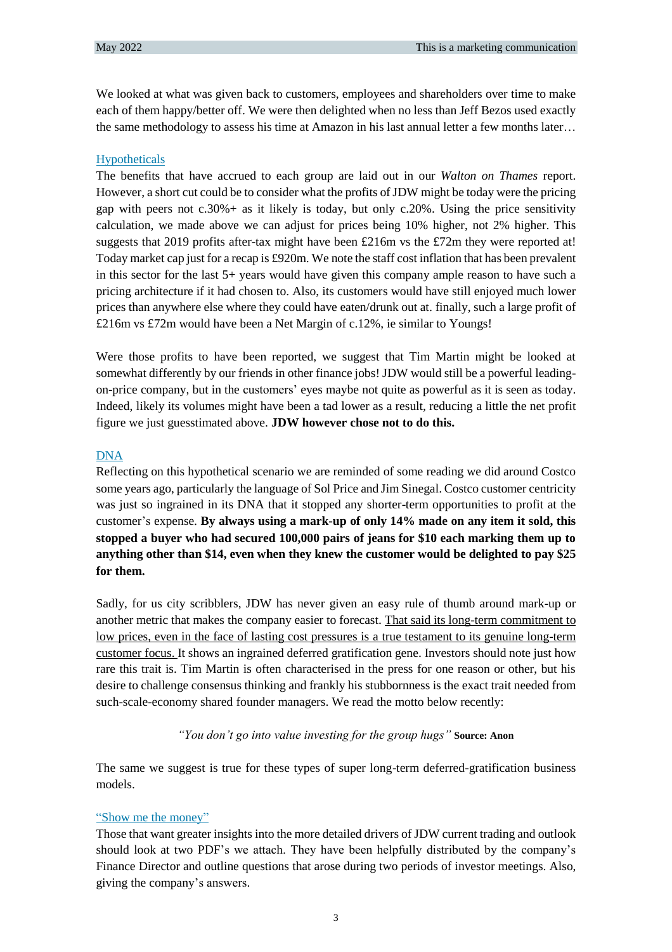We looked at what was given back to customers, employees and shareholders over time to make each of them happy/better off. We were then delighted when no less than Jeff Bezos used exactly the same methodology to assess his time at Amazon in his last annual letter a few months later…

# Hypotheticals

The benefits that have accrued to each group are laid out in our *Walton on Thames* report. However, a short cut could be to consider what the profits of JDW might be today were the pricing gap with peers not  $c.30%$  + as it likely is today, but only  $c.20%$ . Using the price sensitivity calculation, we made above we can adjust for prices being 10% higher, not 2% higher. This suggests that 2019 profits after-tax might have been £216m vs the £72m they were reported at! Today market cap just for a recap is £920m. We note the staff cost inflation that has been prevalent in this sector for the last 5+ years would have given this company ample reason to have such a pricing architecture if it had chosen to. Also, its customers would have still enjoyed much lower prices than anywhere else where they could have eaten/drunk out at. finally, such a large profit of £216m vs £72m would have been a Net Margin of c.12%, ie similar to Youngs!

Were those profits to have been reported, we suggest that Tim Martin might be looked at somewhat differently by our friends in other finance jobs! JDW would still be a powerful leadingon-price company, but in the customers' eyes maybe not quite as powerful as it is seen as today. Indeed, likely its volumes might have been a tad lower as a result, reducing a little the net profit figure we just guesstimated above. **JDW however chose not to do this.**

# DNA

Reflecting on this hypothetical scenario we are reminded of some reading we did around Costco some years ago, particularly the language of Sol Price and Jim Sinegal. Costco customer centricity was just so ingrained in its DNA that it stopped any shorter-term opportunities to profit at the customer's expense. **By always using a mark-up of only 14% made on any item it sold, this stopped a buyer who had secured 100,000 pairs of jeans for \$10 each marking them up to anything other than \$14, even when they knew the customer would be delighted to pay \$25 for them.**

Sadly, for us city scribblers, JDW has never given an easy rule of thumb around mark-up or another metric that makes the company easier to forecast. That said its long-term commitment to low prices, even in the face of lasting cost pressures is a true testament to its genuine long-term customer focus. It shows an ingrained deferred gratification gene. Investors should note just how rare this trait is. Tim Martin is often characterised in the press for one reason or other, but his desire to challenge consensus thinking and frankly his stubbornness is the exact trait needed from such-scale-economy shared founder managers. We read the motto below recently:

# *"You don't go into value investing for the group hugs"* **Source: Anon**

The same we suggest is true for these types of super long-term deferred-gratification business models.

# "Show me the money"

Those that want greater insights into the more detailed drivers of JDW current trading and outlook should look at two PDF's we attach. They have been helpfully distributed by the company's Finance Director and outline questions that arose during two periods of investor meetings. Also, giving the company's answers.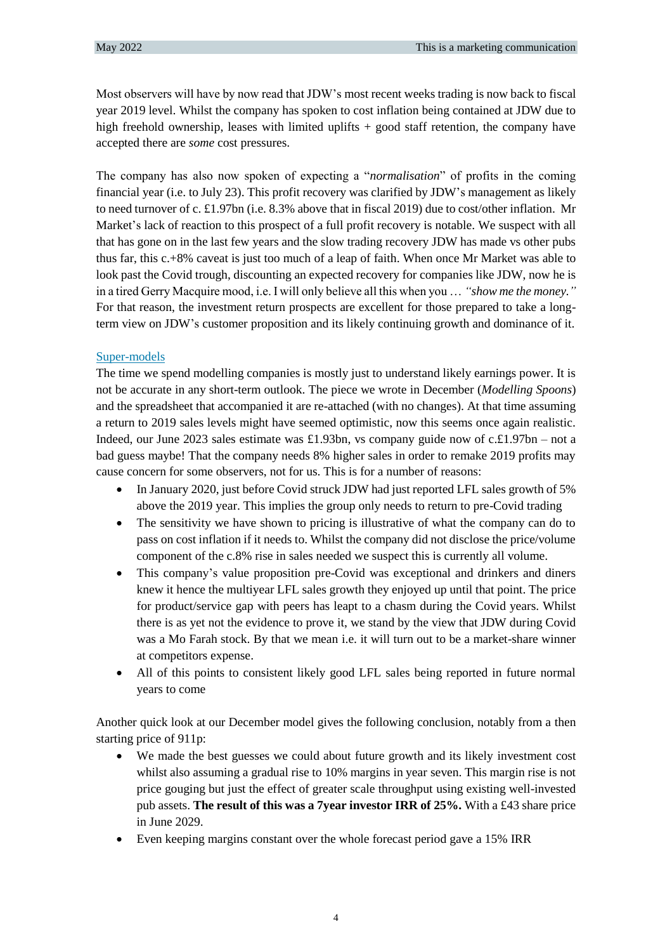Most observers will have by now read that JDW's most recent weeks trading is now back to fiscal year 2019 level. Whilst the company has spoken to cost inflation being contained at JDW due to high freehold ownership, leases with limited uplifts + good staff retention, the company have accepted there are *some* cost pressures.

The company has also now spoken of expecting a "*normalisation*" of profits in the coming financial year (i.e. to July 23). This profit recovery was clarified by JDW's management as likely to need turnover of c. £1.97bn (i.e. 8.3% above that in fiscal 2019) due to cost/other inflation. Mr Market's lack of reaction to this prospect of a full profit recovery is notable. We suspect with all that has gone on in the last few years and the slow trading recovery JDW has made vs other pubs thus far, this c.+8% caveat is just too much of a leap of faith. When once Mr Market was able to look past the Covid trough, discounting an expected recovery for companies like JDW, now he is in a tired Gerry Macquire mood, i.e. I will only believe all this when you … *"show me the money."* For that reason, the investment return prospects are excellent for those prepared to take a longterm view on JDW's customer proposition and its likely continuing growth and dominance of it.

# Super-models

The time we spend modelling companies is mostly just to understand likely earnings power. It is not be accurate in any short-term outlook. The piece we wrote in December (*Modelling Spoons*) and the spreadsheet that accompanied it are re-attached (with no changes). At that time assuming a return to 2019 sales levels might have seemed optimistic, now this seems once again realistic. Indeed, our June 2023 sales estimate was £1.93bn, vs company guide now of c.£1.97bn – not a bad guess maybe! That the company needs 8% higher sales in order to remake 2019 profits may cause concern for some observers, not for us. This is for a number of reasons:

- In January 2020, just before Covid struck JDW had just reported LFL sales growth of 5% above the 2019 year. This implies the group only needs to return to pre-Covid trading
- The sensitivity we have shown to pricing is illustrative of what the company can do to pass on cost inflation if it needs to. Whilst the company did not disclose the price/volume component of the c.8% rise in sales needed we suspect this is currently all volume.
- This company's value proposition pre-Covid was exceptional and drinkers and diners knew it hence the multiyear LFL sales growth they enjoyed up until that point. The price for product/service gap with peers has leapt to a chasm during the Covid years. Whilst there is as yet not the evidence to prove it, we stand by the view that JDW during Covid was a Mo Farah stock. By that we mean i.e. it will turn out to be a market-share winner at competitors expense.
- All of this points to consistent likely good LFL sales being reported in future normal years to come

Another quick look at our December model gives the following conclusion, notably from a then starting price of 911p:

- We made the best guesses we could about future growth and its likely investment cost whilst also assuming a gradual rise to 10% margins in year seven. This margin rise is not price gouging but just the effect of greater scale throughput using existing well-invested pub assets. **The result of this was a 7year investor IRR of 25%.** With a £43 share price in June 2029.
- Even keeping margins constant over the whole forecast period gave a 15% IRR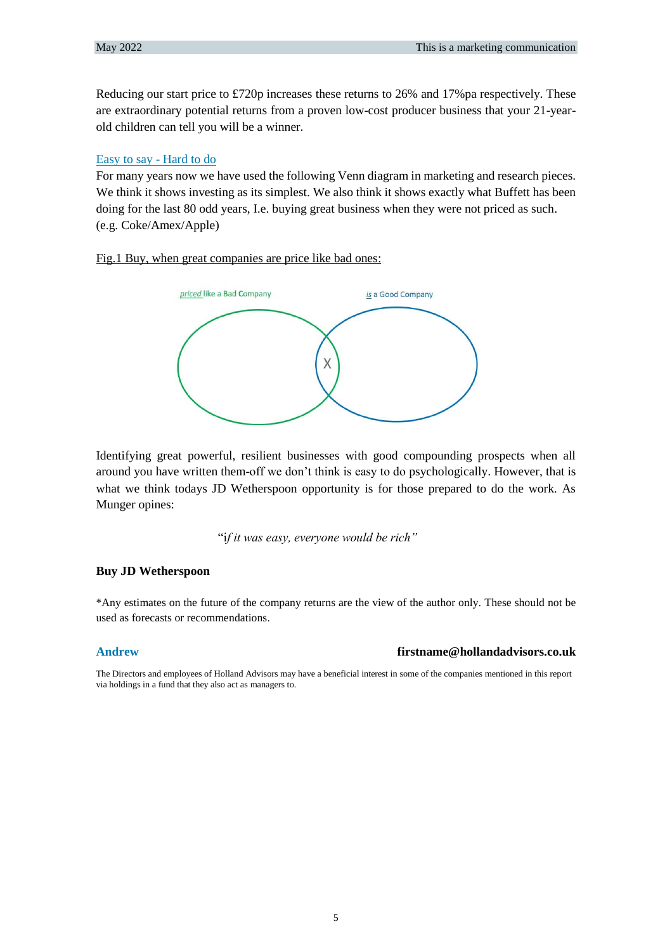Reducing our start price to £720p increases these returns to 26% and 17% pa respectively. These are extraordinary potential returns from a proven low-cost producer business that your 21-yearold children can tell you will be a winner.

# Easy to say - Hard to do

For many years now we have used the following Venn diagram in marketing and research pieces. We think it shows investing as its simplest. We also think it shows exactly what Buffett has been doing for the last 80 odd years, I.e. buying great business when they were not priced as such. (e.g. Coke/Amex/Apple)

# Fig.1 Buy, when great companies are price like bad ones:



Identifying great powerful, resilient businesses with good compounding prospects when all around you have written them-off we don't think is easy to do psychologically. However, that is what we think todays JD Wetherspoon opportunity is for those prepared to do the work. As Munger opines:

"i*f it was easy, everyone would be rich"*

# **Buy JD Wetherspoon**

\*Any estimates on the future of the company returns are the view of the author only. These should not be used as forecasts or recommendations.

# **Andrew [firstname@hollandadvisors.co.uk](mailto:firstname@hollandadvisors.co.uk)**

The Directors and employees of Holland Advisors may have a beneficial interest in some of the companies mentioned in this report via holdings in a fund that they also act as managers to.